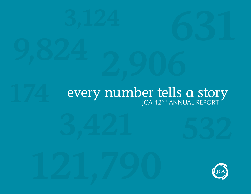# **1744 EVERY NUMBER TELLS A STORY**

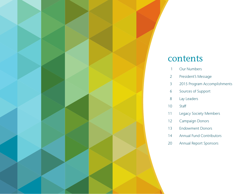

### contents

- 1 Our Numbers
- 2 President's Message
- 3 2015 Program Accomplishments
- 6 Sources of Support
- 8 Lay Leaders
- 10 Staff
- 11 Legacy Society Members
- 12 Campaign Donors
- 13 Endowment Donors
- 14 Annual Fund Contributors
- 20 Annual Report Sponsors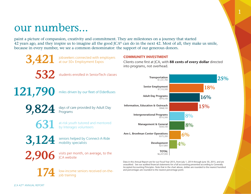## our numbers...

3,421 jobseekers connected with employers at our 50+ Employment Expos

paint a picture of compassion, creativity and commitment. They are milestones on a journey that started 42 years ago, and they inspire us to imagine all the good JCA® can do in the next 42. Most of all, they make us smile, because in every number, we see a common denominator: the support of our generous donors.



Clients come first at JCA, with 88 cents of every dollar directed into programs, not overhead.

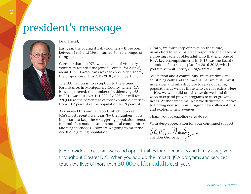## president's message



### Dear Friend,

Last year, the youngest Baby Boomers – those born between 1946 and 1964 – turned 50, a harbinger of things to come.

Consider that in 1973, when a team of visionary volunteers founded the Jewish Council for Aging®, about 1 in 10 Americans was age 65 or older. Today, the proportion is 1 in 7. By 2030, it will be 1 in 5.

The D.C. region is no exception to these trends. For instance, in Montgomery County, where JCA is headquartered, the number of residents age 65+ in 2014 was just over 141,000. By 2030, it will top 220,000 as the percentage of those 65 and older rises from 13.7 percent of the population to 19 percent.

As you read this annual report, which looks at JCA's most recent fiscal year "by the numbers," it is important to keep these staggering population trends in mind. As a nation – and in our local communities and neighborhoods – how are we going to meet the needs of a graying population?

Clearly, we must keep our eyes on the future, in an effort to anticipate and respond to the needs of a growing cadre of older adults. To that end, one of JCA's key accomplishments in 2015 was the Board's adoption of a strategic plan for 2016-2018, which you can view at AccessJCA.org/StrategicPlan.

As a nation and a community, we must think and act strategically and that means that we must invest in services and infrastructure to serve our aging population, as well as those who care for elders. Here at JCA, we will build on what we do well and find ways to expand proven programs to meet growing needs. At the same time, we have dedicated ourselves to finding new solutions, forging new collaborations and exploring new avenues.

Thank you for enabling us to do so.

With deep appreciation for your continued support,

Sheldon Grosberg

JCA provides access, answers and opportunities for older adults and family caregivers throughout Greater D.C. When you add up the impact, JCA programs and services touch the lives of more than 30,000 older adults each year.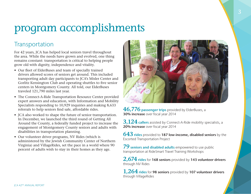## program accomplishments

### Transportation

For 42 years, JCA has helped local seniors travel throughout the area. While the needs have grown and evolved, one thing remains constant: transportation is critical to helping people grow old with dignity, independence and vitality.

- Our fleet of ElderBuses and team of specially trained drivers allowed scores of seniors get around. This included transporting adult day participants to JCA's Misler Center and Gorlitz Kensington Club and operating shuttles to five senior centers in Montgomery County. All told, our ElderBuses traveled 121,790 miles last year.
- The Connect-A-Ride Transportation Resource Center provided expert answers and education, with Information and Mobility Specialists responding to 10,929 inquiries and making 8,633 referrals to help seniors find safe, affordable rides.
- JCA also worked to shape the future of senior transportation. In December, we launched the third round of Getting All Around the County, a federally funded project to increase the engagement of Montgomery County seniors and adults with disabilities in transportation planning.
- Our volunteer driver programs, NV Rides (which is administered by the Jewish Community Center of Northern Virginia) and VillageRides, set the pace in a world where 90 percent of adults wish to stay in their homes as they age.



**46,776** passenger trips provided by ElderBuses, a 30% increase over fiscal year 2014

**3,124** callers assisted by Connect-A-Ride mobility specialists, a 20% increase over fiscal year 2014

**643** rides provided to 187 low-income, disabled seniors by the Escorted Transportation Project

**79** seniors and disabled adults empowered to use public transportation at RideSmart Travel Training Workshops

2,674 rides for 168 seniors provided by 143 volunteer drivers through NV Rides

**1,264** rides for 98 seniors provided by 107 volunteer drivers through VillageRides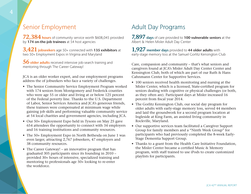### Senior Employment

**72,384** hours of community service worth \$608,045 provided by  $174$  on-the-job trainees at  $54$  host agencies

**3,421** jobseekers age 50+ connected with 135 exhibitors at two 50+ Employment Expos in Virginia and Maryland

**56 older adults** received intensive job-search training and mentoring through The Career Gateway!

JCA is an older worker expert, and our employment programs address the of jobseekers who face a variety of challenges.

- The Senior Community Service Employment Program worked with 174 seniors from Montgomery and Frederick counties who were age 55 or older and living at or below 125 percent of the Federal poverty line. Thanks to the U.S. Department of Labor, Senior Services America and JCA's generous friends, these trainees were compensated at minimum wage while gaining job skills and performing valuable community service at 54 local charities and government agencies, including JCA.
- Our 50+ Employment Expo held in Tysons on May 25 gave 654 attendees the opportunity to connect with 34 employers and 16 training institutions and community resources.
- The 50+ Employment Expo in North Bethesda on June 1 was even larger, attracting 2,767 jobseekers, 47 employers and 38 community resources.
- The Career Gateway! an innovative program that has graduated 305 participants since its founding in 2010 – provided 30+ hours of intensive, specialized training and mentoring to professionals age 50+ looking to re-enter the workforce.

### Adult Day Programs

**7,897** days of care provided to 100 vulnerable seniors at the Albert & Helen Misler Adult Day Center

**1,927** member days provided to 44 older adults with early-stage memory loss at the Samuel Gorlitz Kensington Club

Care, compassion and community – that's what seniors and caregivers found at JCA's Misler Adult Day Center Center and Kensington Club, both of which are part of our Ruth & Hans Cahnmann Center for Supportive Services.

- 100 seniors received health monitoring and nursing at the Misler Center, which is a licensed, State-certified program for seniors dealing with cognitive or physical challenges (or both, as they often are). Participant days at Misler increased 16 percent from fiscal year 2014.
- The Gorlitz Kensington Club, our social day program for older adults with early-stage memory loss, served 44 members and laid the groundwork for a second program location at Ingleside at King Farm, an assisted living community in Rockville, Maryland.
- Our supportive services team facilitated a Caregiver Support Group for family members and a "Ninth Week Group" for participants who had previously completed the 8-week Early-Stage Dementia Support Group.
- Thanks to a grant from the Health Care Initiative Foundation, the Misler Center became a certified Music & Memory program, with staff trained to use iPods to create customized playlists for participants.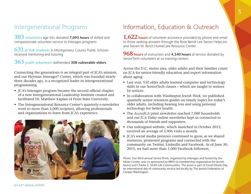### Intergenerational Programs

**303** volunteers age 50+ donated 7,095 hours of skilled and compassionate volunteer service to Interages programs

**631** at-risk students in Montgomery County Public Schools received mentoring and tutoring

### **365** youth volunteers befriended 308 vulnerable elders

Connecting the generations is an integral part of JCA's mission, and our Heyman Interages® Center, which was founded nearly three decades ago, is a recognized leader in intergenerational programming.

- JCA's Interages program became the second official chapter of a new Intergenerational Leadership Institute created and facilitated Dr. Matthew Kaplan of Penn State University.
- The Intergenerational Resource Center's quarterly e-newsletter went to more than 3,000 recipient, allowing professionals and organizations to learn from JCA's experience.



### Information, Education & Outreach

**1,622** hours of volunteer assistance provided by phone and email to those seeking answers through the Rose Benté Lee Senior HelpLine and Steven M. Reich HomeCare Resource Center

**968** hours of instruction and 4,340 hours of service donated by SeniorTech volunteers at six training centers

Across the D.C. metro area, older adults and their families count on JCA for senior-friendly education and expert information about aging.

- Last year, 532 older adults learned computer and technology skills in our SeniorTech classes – which are taught to seniors by seniors.
- In collaboration with *Washington Jewish Week*, we published quarterly senior resources guides on timely topics for today's older adults, including hearing loss and using personal technology for better health.
- The *AccessJCA* print newsletter reached 7,000 households and our *JCA Today* online newsletter kept us connected to thousands of friends and supporters.
- Our redesigned website, which launched in October 2015, received an average of 2,906 visits a month.
- JCA's social media presence continued to grow, as we shared resources, promoted programs and connected with the community on Twitter, LinkedIn and Facebook. As of June 30, 2015, we had more than 1,000 Facebook followers.

Photo: Our third annual Senior Prom, organized by Interages and hosted by the Misler Center, was co-sponsored by BBYO (a membership organization for Jewish teens) and Charles E. Smith Life Communities. The prom is part of Good Deeds Day, an international day of community service led locally by The Jewish Federation of Greater Washington.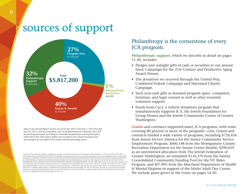## sources of support



Data in this Annual Report are for our Fiscal Year 2015, from July 1, 2014 through June 30, 2015, and are unaudited. See our audited financial statements for a full accounting presented according to Generally Accepted Accounting Principles. Note that in the chart above dollars are rounded to the nearest hundred and percentages are rounded to the nearest whole percentage point.

### Philanthropy is the cornerstone of every JCA program.

**Philanthropic support**, which we describe in detail on pages 11-20, includes:

- Pledges and outright gifts of cash or securities to our annual fund, Campaign for the 21st Century and Productive Aging Award Dinner.
- The donations we received through the United Way, Combined Federal Campaign and Maryland Charity Campaign.
- Such non-cash gifts as donated program space, computers, furniture, and legal counsel as well as other essential volunteer support.
- Funds from Car-J, a vehicle donations program that simultaneously supports JCA, the Jewish Foundation for Group Homes and the Jewish Community Center of Greater Washington.

**Grants** and contracts supported many JCA programs, with some covering 80 percent or more of the programs' costs. Grants and contracts funded a wide variety of programs, including \$724,434 from Senior Service America for the Senior Community Service Employment Program; \$660,148 from the Montgomery County Recreation Department for the Senior Center Shuttle; \$290,659 as an unrestricted allocation from The Jewish Federation of Greater Washington; an estimated \$116,370 from the Fairfax Consolidated Community Funding Pool for the NV Rides Program; and \$97,895 from the Maryland Department of Health & Mental Hygiene in support of the Misler Adult Day Center. We include grant givers in the roster on pages 14-20.

A copy of JCA's current financial statement is available upon request by contacting the Jewish Council for the Aging of Greater Washington, Inc. at 301.255.4200, 703.425.0999, or 12320 Parklawn Drive, Rockville, MD 20852. DISTRICT OF COLUMBIA: JCA is registered with the District of Columbia Department of Consumer and Regulatory A!airs, P.O. Box 92300, Washington, DC 20090-3020. FLORIDA: A COPY OF THE OFFICIAL REGISTRATION AND FINANCIAL INFORMATION FOR THE JEWISH COUNCIL FOR THE AGING OF GREATER WASHINGTON, INC. (REGISTRATION NO. CH36992) MAY BE OBTAINED FROM THE DIVISION OF CONSUMER SERVICES BY CALLING TOLL-FREE 1-800-435-7352 WITHIN THE STATE OR BY VISITING WWW.800HELPFLA.COM. REGISTRATION DOES NOT IMPLY ENDORSEMENT, APPROVAL, OR RECOMMENDATION BY THE STATE. MARYLAND: Documents and information submitted to the State of Maryland under the Maryland Charitable Solicitations Act are available from the Maryland Secretary of State's Office, State House, Annapolis, MD 21401 for the cost of copying and postage. NEW YORK: A copy of our latest financial report may be obtained by contacting the New York State Attorney General's Charities Bureau, 120 Broadway, 3rd Floor, New York, NY 10271. VIRGINIA: A financial report is available from the Virginia State Division of Consumer Affairs, P.O. Box 1163, Richmond, VA 23209. As is true for all charities, however, registration by these governmental organizations does not imply their endorsement. A copy of JCA's IRS 990 is available for public inspection at JCA's Rockville office during normal business hours, Monday through Friday (except holidays), 9 a.m-5 p.m.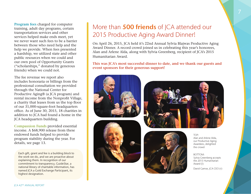**Program fees** charged for computer training, adult day programs, certain transportation services and other services helped make ends meet, yet we never want such fees to be a barrier between those who need help and the help we provide. When fees presented a hardship, we utilized state and other public resources when we could and our own pool of Opportunity Grants ("scholarships," donated by generous friends) when we could not.

The fee revenue we report also includes honoraria or billings from the professional consultation we provided through the National Center for Productive Aging® (a JCA program) and rental income from the Nonprofit Village, a charity that leases from us the top floor of our 31,000-square-foot headquarters office. As of June 30, 2015, 18 charities in addition to JCA had found a home in the JCA headquarters building.

**Compassion Funds** provided essential income. A \$68,900 release from these endowed funds helped to provide program stability during the year. For details, see page 13.

Each gift, grant and fee is a building block to the work we do, and we are proactive about explaining them. In recognition of our commitment to transparency, GuideStar, a national library of charitable information, has named JCA a Gold Exchange Participant, its highest designation.

JCA 42ND ANNUAL REPORT

### More than **500 friends** of JCA attended our 2015 Productive Aging Award Dinner!

On April 26, 2015, JCA held it's 22nd Annual Sylvia Blajwas Productive Aging Award Dinner. A record crowd joined us in celebrating this year's honorees, Alan and Arlene Alda, along with Sylvia Greenberg, recipient of JCA's 2015 Humanitarian Award.

### **This was JCA's most successful dinner to date, and we thank our guests and event sponsors for their generous support!**

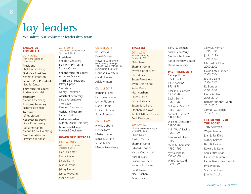## lay leaders

### We salute our volunteer leadership team!

### **EXECUTIVE COMMITTEE**

2014-2015 with terms ending on October 8, 2015

President: Sheldon Grosberg

First Vice President: Kenneth Simonson

Second Vice President: Natalie Cantor

Third Vice President: Adrienne Mandel

Secretary: Marvin Rosenberg

Assistant Secretary: Nancy Fiedelman

Treasurer: Jeffrey Lipson

Assistant Treasurer: Linda Rosenzweig

Parliamentarian: Marion Kristal Goldberg

Member-at-Large: Howard Gleckman

#### 2015-2016 with terms commencing on

October 8, 2015

President: Sheldon Grosberg

First Vice President: Natalie Cantor

Second Vice President: Adrienne Mandel

Third Vice President: Jeffrey Lipson

Secretary: Nancy Fiedelman

Assistant Secretary: Linda Rosenzweig

Treasurer: Kenneth Simonson

Assistant Treasurer: Richard Galen

Parliamentarian: Marion Kristal Goldberg

Member-at-Large: Howard Gleckman

### BOARD OF DIRECTORS

Class of 2015 with terms ending on October 8, 2015 Fredric Cantor Kamal Cohen Debra Korth Marisa Lavine Jeffrey Linder James McMann Susan Miller

### Class of 2016

Ira Bartfield

Kamal Cohen

Howard Gleckman (concurrently serving in 2014-2015 and 2015-2016 as an Officer of the Board)

Norman Goldstein Gerald Levine Adele Winters

Class of 2017

Barbara Etkind Lynn Friss Feinberg Lynne Filderman Daniel Hodin Emily Hofmann Susan Merewitz

#### Class of 2018

Phyllis Coburn Debra Korth Marisa Lavine James McMann Susan Miller Marvin Rosenberg

### **TRUSTEES**

### 2014-2015

with terms ending on October 8, 2015 Philip Baker Sherman Cohn Myrna Cooperstein Harold Evans

Susan Finkelstein Irwin Goldbloom Karen Keats Neal Kursban Peter I. Levin Barry Nudelman Susan Berla Perry Stephen Rockower Rabbi Matthew Simon David Weinberg

### 2015-2016

with terms commencing on October 8, 2015 Philip Baker Fredric Cantor Sherman Cohn Edward Cooper Myrna Cooperstein Harold Evans Susan Finkelstein Irwin Goldbloom Karen Keats Neal Kursban Peter J. Levin

Barry Nudelman Susan Berla Perry Stephen Rockower Rabbi Matthew Simon David Weinberg

### PAST PRESIDENTS

George Hurwitz\* 1973-1975 Julius Sankin\* 975-1978 Rosalie B. Gerber\* 1978-1980 Saul I. Stern\* 1980-1982 Sidney Z. Mensh\* 1982-1984 Samuel I. Gorlitz\* 1984-1986 William Goldwater\* 1986-1988 Irvin "Bud" Lavine 1988-1990 Lawrence L. Levin 1990

> Stella M. Bernstein 1990-1992

Sylvia Raphael 1992-1994 Win Greenwald

1994-1996

Sally M. Herman 1996-1998 Judith S. Ball 1998-2000 Michael Goldberg 2000-2002 Elaine Kotell Binder 2002-2004 Richard Dine 2004-2006 Ed Bonder 2006-2008 Linda Kaplan 2008-2010 Barbara "Bobbe" Mintz 2010-2012 Samuel G. Kaplan 2012-2014

### LIFE MEMBERS OF THE BOARD

Toby Alterman Wayne Berman Joan Jolles Kline Sidney Kramer Bess B. Lavine Edward R. Levin Sonia Atlas Levin Laurence Levitan Laurel Barron Mendelsohn Irma Poretsky Sherry Rodman Jimmie Shapiro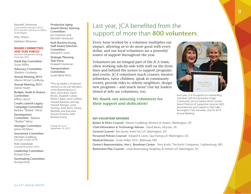Kenneth Simonson (concurrently serving in 2014- 2015 and 2015-2016 as an Officer of the Board)

Kitty Strauss

Kathleen Wiseman

### BOARD COMMITTEES AND TASK FORCES

and their chairpersons during Fiscal Year 2015

Adult Day Committee: Susan Miller

Advocacy Committee: Sheldon Grosberg

Annual Meeting 2014: Marion Kristal Goldberg

Annual Meeting 2015: Daniel Hodin

Budget, Audit & Finance Committee: Jeffrey Lipson

Create a Jewish Legacy Campaign Committee: Barbara "Bobbe" Mintz

Development Committee: Barbara "Bobbe" Mintz

Interages Committee: James McMann

Investment Committee: Michael Goldberg (through October 2014)

Rob Greenblatt (starting November 2014)

Leadership Committee: Richard Dine

Nominating Committee: Richard Dine

Productive Aging Award Dinner Steering Committee: Jan Solomon and Kenneth Simonson

Ruth Breslow-Young Staff Award Selection Committee: Edward R. Levin Strategic Planning Task Force: Howard Gleckman

Transportation Committee: Susan Berla Perry

\*This lay leader is of blessed memory as are Life Members of the Board Maurice D. Atkin, Anne Bord, David Brooks, Elizabeth Cantor, Mollie Caplan, Anne Gelfand, Howard Katzman, Jack Kay, Howard Polinger, Lester Poretsky, Anne Reich, Harvey Wertlieb, and Executive Director Emeritus Ruth Breslow-Young.

Listings are as of September 16, 2015 Last year, JCA benefited from the support of more than 800 volunteers.

Every hour worked by a volunteer multiplies our impact, allowing us to do more good with every dollar, and our loyal volunteers are a powerful source of support throughout the year.

Volunteers are an integral part of the JCA team, often working side-by-side with staff on the front lines and behind the scenes to support programs and events. JCA volunteers teach courses, mentor jobseekers, tutor children, speak at community events, provide rides to elderly neighbors, design new programs – and much more! Our lay leaders (listed at left) are volunteers, too.

### **We thank our amazing volunteers for their support and dedication!**



Each year, JCA recognizes an outstanding volunteer with the Jacqueline Unger Community Service Award. Elinor Ginzler, Senior Director of Supportive Services (left) presented last year's award to Pearl Lake, Kensington Club volunteer, at JCA's 2014 Annual Meeting.

### KEY VOLUNTEER ADVISERS

Bylaws & Ethics Counsel: Marion Goldberg, Winston & Strawn, Washington, DC Chief Information & Technology Adviser: David Baum, McLean, VA General Counsel: Ken Jacob, Arent Fox LLP, Washington, DC Personnel Policies Counsel: Edward R. Levin, Saul Ewing LLP, Washington, DC Medical Director: Susan Miller, M.D., Bethesda, MD Owner's Representative, Ann L. Bronfman Center: Terry Korth, The Korth Companies, Gaithersburg, MD Retirement Plan Counsel: Linda Rosenzweig, Keightley & Ashner LLP, Washington, DC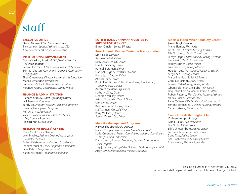## staff

### EXECUTIVE OFFICE

David Gamse, Chief Executive Officer Tina Lunson, Special Assistant to the CEO Amy Southerland, Senior Writer/Editor

### INSTITUTIONAL ADVANCEMENT

Micki Gordon, Assistant CEO/Senior Director of Development Robin Blackman, Administrative Assistant, SeniorTech Bonnie Clausen, Coordinator, Donor & Community Engagement Ellen Greenberg, Director, Information & Education Maria Hernandez, Receptionist Lorraine LeSchack, Development Assistant Koranee Peppe, Coordinator, Grants Writing

### FINANCE & ADMINISTRATION

Richard Stanley, Chief Operating Officer Jack Berezny, Controller Sandy Lo, Program Assistant, Senior Community Service Employment Program Keh-Ay Shyu, Accountant Yonette Wilson Williams, Director, Senior Employment Programs Richard Zung, Accountant

### HEYMAN INTERAGES® CENTER

Carol Croll, Senior Director Leah Bradley, Assistant Director/Manager of Volunteer Services Esther Kaleko-Kravitz, Program Coordinator Jennifer Mueller, Senior Program Coordinator Janel Peters, Program Coordinator Karen Wittmann, Program Coordinator

### RUTH & HANS CAHNMANN CENTER FOR SUPPORTIVE SERVICES

Elinor Ginzler, Senior Director

#### Rose & Harold Kramer Center on Transportation Moti Galil, Director

Andrew Belliel, Driver Kelly Dean, On-call Driver Davd Doroheng, Driver Ronnell Foreman, Driver Gabryal Hughey, Assistant Director Pierre Jean-Claude, Driver Andres Lazo, Driver Robin Lee, Transportation Coordinator, Montgomery County Senior Centers Antonies Massenburg, Driver Kathy McCray, Driver Deborah Mulkey, Driver Arturo Nicolalde, On-call Driver Chris Prinz, Driver Berline Noubet Togna, Driver Iva Twyman, On-call Driver Barry Williams, Driver Steven Wilson, Sr., Driver

#### Mobility Management Programs

Harriet Shapiro Block, Director Nancy Cooper, Information & Mobility Specialist Katie Greenberg, Project Coordinator, Inclusive Coordinated Transportation Partnership Dana Hirsch, Program Manager, Escorted Transportation Pilot Program Trey Johanson, VillageRides Outreach & Marketing Specialist Abby Levin, Information & Mobility Specialist

#### Albert & Helen Misler Adult Day Center James Brigl, Director

Marie Blemur, PRN Nurse Janet Fields, Certified Nursing Assistant Ella Ginzburg, Health Coordinator Fanaye Hagos, PRN Certified Nursing Assistant Irene Kisin, Health Coordinator Harley Lattner, Social Worker Fran Lawrence, Activity Manager Hee Sun Lee, PRN Certified Nursing Assistant Meg Leeds, Activity Leader Marceline Ngo Ndjip, PRN Nurse Carol Neudstadt, Social Worker Ishmael Odai-Afotey, Activity Leader Gbemisola Peter-Olakiigbe, PRN Nurse Jacqueline Otieno, Administrative Assistant Robert Ratemo, PRN Certified Nursing Assistant Shirley Rocke, Geriatric Aide Rahel Tafesse, PRN Certified Nursing Assistant Simone Tennassee, Certified Nursing Assistant Genet Tekeste, Geriatric Aide

### Samuel Gorlitz Kensington Club

#### Colleen Kemp, Manager

Diana Caisse, Activity Leader Lily Groh, Activity Leader Ellis Schlossenberg, Activity Leader Louise Schneider, Activity Leader Dana Tate, Activity Leader Lisa Trachtman, PRN Activity Leader Brian Wood, PRN Activity Leader

This list is current as of September 21, 2015. For a current staff organizational chart, visit Access|CA.org/OrgChart.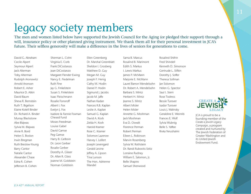## legacy society members

The men and women listed below have supported the Jewish Council for the Aging (or pledged their support) through a will, insurance policy or other planned giving instrument. We thank them all for their personal investment in JCA's future. Their selfless generosity will make a difference in the lives of seniors for generations to come.

David G. Abraham Cecile Alpert Seymour Alpert Jack Alterman Toby Alterman Rudolph Aronowitz Arnold Aronson Robert E. Asher Maurice D. Atkin David Baum Sheva R. Bernstein Ruth T. Bigelson Elaine Kotell Binder Dr. Richard A. Binder Murray Blackstone Abe Blajwas Sylvia M. Blajwas Anne R. Bord Helen S. Boston Irwin Bregman Ruth Breslow-Young Barry Cantor Natalie Cantor Alexander Chase Edna R. Cohen lefferson B. Cohen

Sherman L. Cohn Virginia E. Corb Frank DiCostanzo Joan DiCostanzo Margaret Flender Ewing Nancy E. Fiedelman Ruth Fine Jay G. Finkelstein Susan S. Finkelstein Isaac Fleischmann Rosalie Fonoroff Albert I. Fox Evelyn J. Fox Isadore & Fannie Foxman Chesed Fund Moses Freedman Louise Gabel David Gamse Peg Gamse Harry B. Gelboin Dr. Leon Gerber Rosalie Gerber Dorothy A. Glaser Dr. Allan R. Glass Joanne M. Goldstein Norman Goldstein

Ellen Greenberg Dr. Marshal Greenblatt Sheldon I. Grosberg Matthew D. Guy Megan M. Guy Joseph F. Henig Cathy M. Hodin Daniel P. Hodin Sigmund J. Jacobs Jacob M. Jaffe Nathan Kadan Frances R.B. Kaplan Leslie A. Kaplan Samuel G. Kaplan David A. Kosh Zelda H. Kosh Harold Kramer Rose C. Kramer Solomon Lazerow Harvey I. Leifert Joseph Levengard Gerald Levine Jeffrey A. Lipson Tina Lunson The Hon. Adrienne Mandel

Sarna B. Marcus Rosalind B. Marimont Edith S. Markus I. Lewis Markus James P. McMann Marjorie E. McMann Laurel Barron Mendelsohn Dr. Robert A. Mendelsohn Barbara S. Mintz Herbert H. Mintz Jeanne S. Mintz Albert Misler Helen Misler Annette G. Moshman Jack Moshman Eva D. Oswalt Florence Perman Robert Perman Eileen L. Robinson Marvin Rosenberg Sylvia W. Rothstein Dr. Randi Rubovits-Seitz Lorraine Rudney William E. Salomon, Jr. Belle Shapiro Samuel Sherwood

Rosalind Shifrin Fred Shindell Kenneth D. Simonson Gertrude L. Slifkin Dorothy I. Soffer Theresa Sollman Jan Solomon Helen G. Spector Saul I. Stern Rose Todress Bessie Turover Isador Turover Louis J. Walinsky Geraldine E. Weinrib Frances E. Wolf Sylvia Wubnig Belle S. Yaffee Rivka Yerushalmi



JCA is proud to be a founding member of the Create a Jewish Legacy Campaign, a program created and nurtured by The Jewish Federation of Greater Washington and its United lewish Endowment Fund.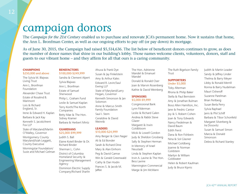## campaign donors

The *Campaign for the 21st Century* enabled us to purchase and renovate JCA's permanent home. Now it sustains that home, the Ann L. Bronfman Center, as well as our ongoing efforts to pay off (or pay down) its mortgage.

As of June 30, 2015, the Campaign had raised \$5,514,636. The list below of beneficent donors continues to grow, as does the number of donor names that shine in our building's lobby. Those names welcome clients, volunteers, donors, staff and guests to our vibrant home – and they affirm for all that ours is a caring community.

#### **CHAMPIONS** \$250,000 and above

The Sylvia M. Blajwas Living Trust Ann L. Bronfman Foundation Alexander Chase Trust Estate of Rosalind B. Marimont Lois & Richard England, Sr. Irene & Edward H. Kaplan Barbara & Jack Kay Kenneth S. Jacob/Arent Fox LLP State of Maryland/Martin O'Malley, Governor Montgomery County Maryland/Isiah Leggett,

County Executive Morningstar Foundation/

Susie and Michael Gelman

### **BENFFACTORS**

\$100,000-\$249,999 Sandra & Clement Alpert Sylvia Blajwas Ann L. Bronfman Estate of Samuel Sherwood Philip L. Graham Fund Leslie & Samuel Kaplan Terry Korth/The Korth **Companies** Betty Mae & The Hon. Sidney Kramer Barbara & Herbert Mintz

### **GUARDIANS** \$25,000-\$99,999

Judith S. Ball Elaine Kotell Binder & Dr. Richard Binder

Sherman L. Cohn District of Columbia Homeland Security & Engineering Management Agency Dominion Electric Supply

Company/Richard Sharlin

Ahuva & Frank Dye Susan & Jay Finkelstein Amy & Arthur Kales Edward R. Levin/Saul Ewing LLP State of Maryland/Larry Hogan, Governor Kenneth Simonson & Jan Solomon Anne & Marcus Smith Family Foundation Saul I. Stern Geraldine & David Weinrib

### **LEADERS** \$10,000-\$24,999

Amy Berger & Glen Nager Ali & Ed Bonder Sarah & Richard Dine Mary & Alan Einhorn Peg & David Gamse Win & Gerald Greenwald Cathy & Dan Hodin Frances S. & Jacob M. laffee

The Hon. Adrienne Mandel & Emanuel Mandel

Donald & Ronald Oser Joan & Marvin Rosenberg Kathie & David Weinberg

#### **SPONSORS** \$5,000-\$9,999

Congressional Bank Lynn Filderman Leslie & Richard Galen Andrea & Rabbi Steve Glazer Margaret & Irwin Goldbloom Micki & Lowell Gordon Judy & Sheldon Grosberg Sally & Stephen Herman In Memory of Israel Neustadt Linda & Stephen Kaplan Irvin A. Lavine & The Hon. Bess Lavine Mannington Commercial Marge & Jim McMann

The Ruth Bigelson Family **Trust** 

### **SUPPORTERS** Under \$5,000

Toby Alterman Rhona & Philip Baker Stella & Paul Bernstein Amy & Jonathan Bulman Booz Allen Hamilton, Inc. Jane & Fredric Cantor Joy & S. Robert Cohen Joan & Tony Edwards Nancy Fiedelman & David Baum Edith Fierst Dana & Ron Fishbein Nina & Sol Glasner Michael Goldberg Joanne & Norman **Goldstein** Marilyn & William Goldwater Helen & Robert Kaufman Judy & Bruce Kipnis

Judith & Martin Leader Sandy & Jeffrey Linder Thelma & Barry Meyer Libby & Ronald Merrill Ronna & Barry Nudelman Mauri Osheroff Suzanne Parelman Brian Perlberg Susan Berla Perry Sylvia Raphael lanis & Phil Schiff Barbara & Tibor Schonfeld Margaret Silverberg & Ira Dosovitz Susan & Samuel Simon Marcia & Donald Simonson Debra & Richard Stanley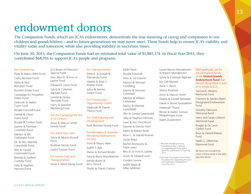## endowment donors

The Compassion Funds, which are JCA's endowments, demonstrate the true meaning of caring and compassion to our children and grandchildren – and to future generations we may never meet. These Funds help to ensure JCA's viability and vitality today and tomorrow, while also providing stability in uncertain times.

Edith Fierst

On June 30, 2015, the Compassion Funds had an estimated total value of \$1,885,174. In Fiscal Year 2015, they contributed \$68,916 to support JCA's people and programs.

#### For General Use

Flora & Maury Atkin Fund Cathy Bernard Fund1 Stella & Paul Bernstein Fund Burstein Estate Fund Campaign for Forgotten Elders Fund Deborah & Walter Cohn Fund Rosalie Fonoroff Fund Harold & Lilyan Evans Fund Rosalie B. Gerber Fund Joanne & Norman Goldstein Fund Marilyn & Bill Goldwater Fund Dr. & Mrs. Marshal Greenblatt Fund Win & Gerald Greenwald Fund Brenda & Sanford Guritzky Fund

Sally & Stephen Herman Fund

JCA Board of Directors' Special Fund Hon. Bess B. & Irvin A. Lavine Fund Edward R. Levin Fund Sylvia & Coleman Raphael Fund Gerald & Deana Stempler Fund Harry & Jeanette Weinberg Fund

### For the Campaign for the 21st Century

Anne & Marcus Smith Family Fund2

#### For Adult Day Care

Sylvia & Morris Krucoff Fund Rodman Family Fund Isador Turover Fund

### For Home Care and **Transportation** Anne S. Reich Family Fund

### For Transportation

Ethel E. & Joseph B. Danzansky Fund Harold & Rose C. Kramer Fund Julius & Jeanne Sankin Fund

### For Community Opportunity Grants

Hadassah & Daniel Thursz Fund

For Staff Training and Development Ruth Breslow-Young Fund

### For the Harry & Jeanette Weinberg Endowment Society Flora & Maury Atkin Judith S. Ball Elaine & Richard Binder Sara & Bruce Brandeleone Mindy Buren & Jerry Stouck Phyllis & David Coburn

Goldberg Goldstein Goldwater **Greenblatt** Susan Kraut Mark Lewis Gordon Levine Judith Mazo & Mike Seldman

Rosalie Fonoroff Nina & Sid Glasner Marion & Michael Joanne & Norman Marilyn & William Nancy & Marshal Win & Gerald Greenwald Sally & Stephen Herman Lean & Eric Hirschhorn Dianne & Dennis Horn Karen & Robert Keats Rose C. & Harold Kramer Rachel Kronowitz & Bess B. & Irvin A. Lavine Susan & Edward Levin

Laurel Barron Mendelsohn & Robert Mendelsohn Sylvia & Coleman Raphael Joy Gail Raywid Anne S. Reich Sherry Rodman Anne & Marcus Smith Deana & Gerald Stempler David S. Stone Foundation Hadassah Thursz Bessie & Isador Turover Philanthropic Fund Karen Zuckerstein

1 We thank The Bernard Family Foundation/Cathy S. Bernard for supporting this Fund with a generous contribution in Fiscal Year 2015.

2 We thank The Joseph & Anna Smith Foundation for supporting this Fund with a generous contribution in Fiscal Year 2015.

With gratitude, we list the permanent funds of the **United Iewish** Endowment Fund that donors designated in part or in whole to JCA.

Samuel K. Abrams Memorial Fund

Clement & Sandra Alpert Designated Endowment Fund

Dorothy Fabricant Memorial Fund

Harry and Sarah Gelfand Memorial Fund

Rosalie & Dr. Leon Gerber Fund

Rose & Harold Kramer Fund

Sarah G. Silberman Memorial Fund

We have not included the value of these funds in the data reported above.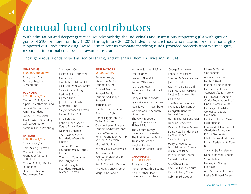## annual fund contributors

With admiration and deepest gratitude, we acknowledge the individuals and institutions supporting JCA with gifts or grants of \$100 or more from July 1, 2014 through June 30, 2015. Listed below are those who made honor or memorial gifts, supported our Productive Aging Award Dinner, sent us corporate matching funds, provided proceeds from planned gifts, responded to our mailed appeals or awarded us grants.

These generous friends helped all seniors thrive, and we thank them for investing in JCA!

### **GUARDIANS** \$100,000 and above

Anonymous (1) Estate of Rosalind B. Marimont

### FOUNDERS \$25,000-\$99,999

Clement C. & Sandra K. Alpert Philanthropic Fund Leslie & Samuel Kaplan Family Foundation Bobbe & Herb Mintz The Morris & Gwendolyn Cafritz Foundation Kathie & David Weinberg

### PATRONS \$10,000-\$24,999

Anonymous (2) Carol & Gary Berman Clark-Winchole Foundation/Vincent C. Burke III Charles E. Smith Family Foundation Dorothy Fabricant

Endowment Fund

### BENEFACTORS \$5,000-\$9,999

Estate of Paul Fabricant Greta Faigen Gorlitz Foundation Ltd./ Gail Gorlitzz & Cris Smith Sylvia K. Greenberg Isadore & Foxman Chesed Fund John Edward Fowler Memorial Fund Sally & Stephen Herman Lauren & Rick Pollin Irma Poretsky Robert P. and Arlene R. Kogod Family Foundation Deanne H. Sharlin The David S. Stone Foundation/Daniel B. Binstock The Josh Klinger Foundation/Sally Rogers Klinger The Korth Companies, Inc./Terry Korth The Morningstar Foundation/Susan & Michael Gelman

Sherman L. Cohn

### Anonymous (2) Abramson Family Foundation, Inc. Bernard Aronson Bernard Family Foundation/Cathy S. Bernard Barbara Buch Natalie & Barry Cantor Sherman L. Cohn Corina Higginson Trust/ Wilton Corkern George Preston Marshall Foundation/Barbara Jones

George Wasserman Family Foundation/Rory & Shelton Zuckerman Michael Goldberg

Win & Gerald Greenwald Katzman Family Foundation/Marlene & Chuck Freed Ann & Cornelius Kerwin The Hon. Sidney Kramer Marjorie Krumholz

Marjorie & James McMann Eva Meigher Susan & Alan Miller Ronald Ottenberg Paul & Annetta Foundation, Inc./Michael Preston

Libby & Lou Pohoryles Sylvia & Coleman Raphael Joan & Marvin Rosenberg Jan Solomon & Kenneth Simonson

The Alvin & Louella Epstein Foundation/ Richard Sills

The Coburn Family Foundation/Lisa Keefer

The Ruth Bigelson Family Trust/Janie Drohan Webber Family Foundation/Marisol Foster

### **CHAMPIONS** \$1,000-\$4,999

Anonymous (7) Adventist Health Care, Inc. Alan & Esther Fleder Foundation/Gail Fleder

George E. Arnstein Rhona & Phil Baker Suzanne & Mark Balamace Judith S. Ball Kathryn & Ira Bartfield Baxt Family Foundation, Inc./Joy & Leonard Baxt Gail Becker

The Bender Foundation, Inc./Julie Silver Bender Georgette Bennett & Leonard Polonsky

Fran & Thomas Bensinger Francine Berkowitz

Devorah & Kevin Berman

Elaine Kotell Binder & Dr. Richard Binder

Sara & Bill Boyan

Harry & Faye Burka Foundation, Inc./Frances & Leonard Burka

Jane & Fredric Cantor Samuel Chaitovitz Ana Chepelinsky Phyllis & David Coburn Kamal & Barry Cohen Robin & Ed Cooper

Myrna & Gerald Cooperstein Audrey Corson & Daniel Kazzaz Joanne & Frank Crantz Debra Levy Eldercare Associates/Suzy Murphy Dr. Edward & Mildred Cafritz Foundation, Inc./ Linda & James Cafritz Fabrangen Tzedakah Collective/Debbie Goldman Family & Nursing Care/ Neal Kursban

Louis and Helen Fanaroff Charitable Foundation, Inc./Sunny Polsky

Marlin & David Feldman Nancy Fiedelman & David Baum

Susan & Jay Finkelstein Dana & Ronald Fishbein Susan Fisher

Barbara & Charles Friedman

Ann & Thomas Friedman Leslie & Richard Galen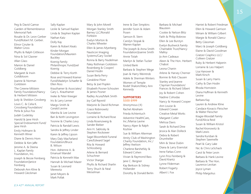Peg & David Gamse Garden of Remembrance Memorial Park Rosalie & Dr. Leon Gerber Fund/Robert M. Gerber. Elinor Ginzler & Walter Gross Phyllis & Ralph Gittleson Nina & Sol Glasner Allan Glass Marion & Daniel Goldberg Margaret & Irwin Goldbloom Joanne & Norman Goldstein The Greene-Milstein Family Foundation/Nancy & Herbert Milstein Judy & Sheldon Grosberg Louis C. & Celia K. Grossberg Foundation/ Perla & Julius Fox Judah Gudelsky Harold & Jane Hirsh Special Endowment Fund/ Jane Hirsh Emily Hofmann & Kenneth Winer Diane & Dennis Horn Debbie & Ken laffe Jerome A. & Deena L. Kaplan Family

Joseph & Bessie Feinberg Foundation/Janice Feinberg Deborah Ann Kline & Howard Gleckman

Foundation, Inc.

Sally Kaplan Leslie & Samuel Kaplan Linda & Stephen Kaplan Nathan Katz Dolly Kay Karen & Robert Keats Kinder Morgan Foundation/Maureen Buckley Koenig Family Philanthropic Fund/Joel Koenig Debbie & Terry Korth Rose and Howard Kramer Fund/Madelyn Schaefer & Ellen Ross Krauthamer & Associates/ Gary L. Krauthamer Ineke & Peter Kreeger Iris & Larry Lerner Margo Smith & Gerald Levine Marsha & Lee Levine Bari & Keith Levingston Yvonne & Charles Levy Patricia & Randall Lewis Sandra & Jeffrey Linder Karen & Jeffrey Lipson Mary Daly MacFarland Foundation/Bruce B. Wilson Hon. Adrienne A. & Emanuel Mandel Patricia & Kenneth Max Hannah & Michael Mazer Susan & Leonard Merewitz Janet Meyers & Mark Pollak

Mary & John Morell Morgan Stanley Smith Barney LLC/Ronald Fishbein Evelyn Morton & Charles Wheeler Ellen & James Myerberg Nauticon Imaging Systems/Gary Sockel Ronna & Barry Nudelman Paley Rothman Goldstein Rosenberg & Cooper/ Daniel Hodin Susan Berla Perry Geraldine Pilzer Betsy & Joel Popkin Elisabeth Posner-Schouten & James Posner Radley Acura/Mark Smith Joy Gail Raywid Marjorie & David Richman Grace Robinowitz Foundation Lorraine & Richard Rose Linda Rosenzweig & Sander Bieber Ann H. Sablosky & Stephen Rockower Sagel Bloomfield Funeral Care/Edward Sagel Rita & Howard Schlossberg Arlene & Bernard Schuchner Victor Shargai Phyllis & Richard Sharlin Terry Shuch & Neal

Meiselman

Jennifer Sosin & Adam Posen Samson B. Stern Carolyn Stopak & Warren Kaplan The Joseph & Anna Smith Foundation/Joanne Smith Annie Totah Marilyn & Stefan Tucker United Bank Barbara & Stephen Wege Joan & Harry Weintrob Adele & Sherman Winters Women of Temple Rodef Shalom/Mary Ann Kennedy **SUPPORTERS** \$500-\$999 Anonymous (4) Rachel Abraham Frieda Achtentuch Adventist HealthCare, Inc./Marisa Lavine Nancy Alper & Ralph Kozlow Sue & William Alterman Amity Club of Washington Charity Foundation, Inc./ Jeffrey Axelson Charlene Barshefsky & Edward Cohen Vivian & Raymond Bass Jane C. Bergner Kay Berkson & Sidney Hollander Dorothy & Donald Berlin

Irene & Dan Simpkins

Blaustein Cookie & Nelson Blitz Faith & Philip Bobrow Ellen & Lee Burstyn Evelyn Bushwick Family Charitable Trust/Nancy Malloy Jo Ann Cadeaux Aleen & The Hon. Herbert Chabot Leona Chanin Arlene & Harvey Cherner Bonnie & Rob Clausen Stanley and Jeanne Clayman Foundation/ Frances & Richard Silbert Joy & Robert Cohen Nadine Cohodas Nancy & Howard Cooper Ann Louise & Edward Cowan Creative Metal Works Margaret Cutler Melissa Davis Sarah & Richard Dine Jessica & Alan Dolleck Debra & Robert Drumheller Mim & Steve Dubin Diana & Larry Eisenstat Irene Farkas-Conn Lynn Friss Feinberg & David Krantz Lynne Filderman Robert Fogarty Albert I. Fox

Barbara & Michael

Harriet & Robert Friedman Ellen & Howard Garrison Miriam & William Gilbert Margie & Ronald Glancz Betty Glassman Marci & Joseph Goldberg Elaine & David Goodman Gratzer Graphics LLC/ Colleen Gratzer Ruby & Herbert Halperin Lorraine & Leo Halpert Lisa Hanover & Mark Kirsch Susan & Larry Harris Cathy & Dan Hodin Rhoda Hornstein Diana Huffman & Kenneth Levine Barbara Kay Lauren & Andrew Kline Candace Kovacic-Fleischer & Walter Fleischer Kragie-Woodall Family Fund/Alicia Reid Susan & William Kristol Rachel Kronowitz & Mark Lewis Sandra Kursban & Stephen Sawmelle Pearl & Gary Lake Nic & Chris LeSchack Carol & Peter Levin Barbara & Hank Levine Barbara & The Hon. Laurence Levitan Joyce Lyman Philip Margolius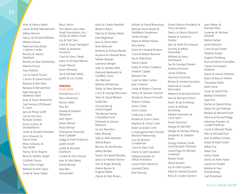Ellen & Kenny Marks Laurel & Bob Mendelsohn Jeffrey Menick Nancy & Richard Millstein William Moore National Auto Body Collision Center Beverly & Steven Newborn Beverly & Alan Peterkofsky Marsha Pinson Amy Platnick Lori & David Posner Connie & David Povich Barbara & Bert Rein Barbara & Bernard Ries Faith Roessel & Matthew Slater Judy & Stuart Rosenthal Saul Ewing LLP/Edward R. Levin Janis & Philip Schiff Lilo & The Hon. Richard Schifter Kristy Schloss & Donald Burch Leslie & Ronald Schreiber Ann Schwartz & David Silver Rhea Schwartz & Paul Wolff Nancy & Ira Shapiro Bena & Stanley Siegel

Gottlieb Simon Terry Ellen Singer Barbara & John Sipos Linda & Steve Skalet

Barry Slevin The Albert and Lillian Small Foundation, Inc./ Shirley & Albert Small Lily & Neil Starr Celia & Stuart Steingold Helen & Jonathan Sunshine Carol & Harry Tabak Joann & Richard Weiner Susan Wiener Lewis Winarsky Val & Michael Wolly Judith & Leo Zickler **FRIENDS** \$100-\$499

Anonymous (21) Alice Abramson Burton Adler Rise Ain Davida & Edward Alexander Joan Alpert James Altman Paula Altman Ameriprise Financial/ Kojo Gyabaah Leggy & Fred Anderson **Judith Arnoff** Judith & Kenneth Auerbach Cookie & Zion Avissar Joan & Alan Bailey Daniel Barney Joan Barr Samuel Barr

Ruth & Charles Bartfeld Beatrice Baum Patricia & Stanley Beder Joan Begelman Jean & Armin Behr Rose Belmont Roberta & Richard Benfer. Rosanne & Howard Benn Marian Beratan Lawrence Berger Sally & Sanders Berk Deborah Berkowitz & Geoffrey Garin Ann Berman Barbara Alk Berman Shelly & Peter Berman Caryl & George Bernstein Sheri & David Blotner Judith Bor Victoria Bor & David Dugoff The Borten Family Charitable Fund Deborah & Selwyn Bottinick Ira Leo Brandriss Marc Bransky Sally & Allan Bratman Wilma Braun Bernice & Joel Breslau Jeffrey Brinker Naomi & Harold Brodsky Janice & Herbert Broner Irith & Roger Browdy Arlene Brown & Eugene Bialek Zipora & Alan Brown

Miriam & David Browning Bulman Dunie Burke & Feld/Barry Nudelman Shirley Burger Maria & Robert Burka Rose Burka Diane & Howard Burkom Carol & Robert Burman Ilsa & Mike Bush Maria Cabral Kathy & Arthur Cadeaux Herbert Caplan Barbara Carr Carol & Allen Carton Jane Cheever Linda & Robert Chernak Nancy & Stewart Cherner Renate & Amoz Chernoff Sharon Cohany Anne Cohen Irwin Cohen Linda Lee Cohen Rosalie & Zivan Cohen Marlene & Victor Cohn Robin & Jerald Cohn Congregation Bet Chesed/ Bernard Paiewonsky Geri & Richard Cooperman Carol & Alan Croll Diane & Seth Davidson Natalya Davidov & Milton Friedman Louise Ruth Davidson Leonard Deitz Rita Demsey

Tony Desiderio Nancy & Morris Deutsch Natalie & Laurence Dickter Joan & Frank DiCostanzo Yvonne & leffrey Distenfeld Mildred & Harry Dornbrand Sue & George Driesen Andrea Drimmer Laurie Dubrow Seymour Dussman Rhoda & Norbert Eckstein Deborah & Gerald Ehrenstein Marlene & Richard Ehrlich Vera & Bernard Ehrlich Sherri & Jay Eichberg Sandi & Michael Eisenberg Miriam Eisenstein & Carol Stern Stuart Eizenstat Margie & Mel Elfin Margie & Mickey Elsberg Shulamith & Sheldon Elster Energy Federal Credit Union/Joseph Ottoivani Linda Engel & Michael Goldstein Robert Enzel Diane Epstein Joy & Herb Epstein Marji & Howard Epstein Rena & Gordon Epstein

Fizzeh Nelson-Desiderio &

Joan Fabrey & Michael Klein Suzanne & Michael Fanaroff Melvin Farber Janet Farbstein Carol & Jack Feder Stephen Feigin Eugene Feinberg Doris & Myron Feinsilber Clarice & Howard Feldman Elaine & Howie Feldman Karen & Baruch Fellner Theodore Fields Edith Fierst Susan & David Fink Barbara Finkelstein Faye First Rachel & Daniel Fisher Debra & Lyle Fishman Barbara & Bernard Fixell Patricia & Ronald Flagg Adrienne Flanders & Gerald Friedman Carol & Michael Flicker Ellie & Michael Flyer lean & leffrey Forman Hope & Mark Foster leffrey Fox Maier Fox Arthur Frank Sherry & Peter Frank Lawrence Frankel Bobbie & Paul Freedenberg Gail Freedman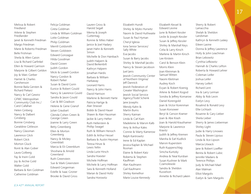Melissa & Robert Friedland Arlene & Stephen Friedlander Janet & Kenneth Friedman Margo Friedman Marie & Roberto Friedman Belle Frishman Sheila & Allen Gaisin Lisa & Richard Garfinkel Ellen & Howard Garrison Marjorie & Gilbert Geldon Joy & Marc Gerber Harriet & Charles Gershenson Bonnie Baila Gersten & Richard Piekarz Nancy & Carl Gewirz GFWC Metropolitan Community Club Inc./ Carol Callahan Helen Ginberg Nancy & Dalbert Ginsberg Bonnie Ginsberg Geraldine Gittleson Nancy Glassman Lawrence Glick Robert Glick Morton Gluck Ronit & Alan Gober Laura Golberg Fay & Irwin Gold Joy & Archie Gold Walter Gold Barbara & Ken Goldman Catherine Goldman

Felicia Goldman Greta Goldman Linda & William Goldman Lotte Goldman Philip Goldman Merrill Goldsmith Steven Goldstein Edward Gonzague Hilda Goodman David Gooen Judith Gordon Micki & Lowell Gordon Nancy Gordon & Robert Parker Susan & David Gorin Eunice & Robert Gould Nancy & Lawrence Gould Sandra & Jason Gould Cari & Bill Gradison Helene & Gene Granof Julian Graubart Glenda Cohen Green & George Green Joanne & Larry Green Betty Greenberg Ellen & Morton Greenberg Nancy & Mickey Greenblatt Marcia & Eli Greenblum Shoshana & Arnold Greenland Ruth Greenstein Sue & Mark Greenstein Edward Gregerman Estelle & Isaac Groner Brooke & David Gross

Lauren Gross & Harold Segall Merna & Joseph **Guttentag** Ronnie & Miles Haber Janice & Joel Hadary Janet Hahn & Kenneth Simon Michelle & Don Hainbach Judith Halpern & David Berkenbilt Kathryn Halpern Jonathan Hardis Barbara & William Harkaway Leonard Harris Nancy & John Harris David Harrison Marlene & Bennett Harte Patricia Hartge & Alan Strasser Bobbi & David Hauer Shawn & Alan Hausman Jackie & Larry Hefter Ruth Hellerstein & Phillip Swagel Ruth & William Henoch Edith & Arthur Hessel Barbara & Austin Heyman Teresa Hinze & Lewis Yellin Linda Lurie Hirsch Sandra Hoexter Michele Hoffman Michele & Larry Hoffman Sara & Kenneth Holland Marian & David Holtz Sandra Horowitz

Elizabeth Hundt Shirley & Myles Hurwitz Naomi & David Huthwaite Susan & Paul Hyman Cheryl Iglesia Iona Senior Services/ Sally White Eva Jacobs Susan & Barry Jacobs Shirley & Marshall Jacobs Nancy & Steven Jacobson Juel Janis Jewish Community Center of Northern Virginia/ **Jeff Dannick** Jewish Federation of Greater Washington Jewish Social Service Agency/Todd Schenk Jane Josephs Wendy Kahn & Martin Burns Sherry Kaiman Linda & Carl Kain Madeleine & Marvin Kalb Amy & Arthur Kales Connie & Marty Kamerow Ralph Kantrowitz Irene & Ed Kaplan Jessica Kaplan & Michael Rosman Elaine & Robert Katz Roberta & Stephen Kauffman Alan Kaufmann Gail Kaufmann Shirley Kemelhor Marie Louise Kennedy

Elizabeth Kessel & Edward Levine June & Robert Kessler Leslie & Joseph Kessler Susan & Jeffrey Kessler Shirley & Marshall Keys Celia & Larry Kirsch Marlene & Martin Kirsch Lee Kirstein Carol & Benson Klein Morris Klein Joan Kleinman & Samuel Witten Naomi Kleitman Audrey Koch Evyan & Robert Koenig Arlene & Robert Kogod Sondra & Jeffrey Komarow Daniel Korengold Joan & Victor Korenman Susan Korsower Beryl & Gerson Kramer Joan & Abe Krash Joan & Harold Krauthamer Marjorie & Lawrence Kravitz Judith & Jeffrey Kremen Marsha & Earl Kudlick Marvin Kuperstein Ruth Kupperschlag Simcha Kuritzky Andrea & Neal Kursban Susan Kushner & Mark Czarnolewski Sandra & Sheldon Kusselson Annette & Richard Lakein

Sherry & Robert Lamacchia Shelah & Sheldon Landsman Kathryn & Kenneth Laskey Eileen Lavine Donna & Jeffrey Lawrence Holly & John Leachman Brian Lebowitz Cynthia Lefkowitz Hannah & Charles Lefton Roberta & Howard Lehrer Coleman Leifer Joshua Leifer Harvey Leifert Richard Lent Ina & Larry Lerman Abby & Rob Levin Evelyn Levy Rosalind & Ronald Levy Ellie Lichtash Rosanne & Gary Lieber Sheila Lieber Sherry & James Lieberman Shirley Light Judie & Harry Linowes Paula & Steven Lipsius Linda & Ace Lipson Marcia Litwack lane & Robert Loeffler Benita & Robert Lubic Jennifer Madans & Terence Phillips Judy & Michael Mael Alan Malman Elliot Margolis Evelyn & Sam Margolis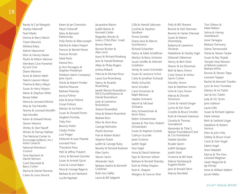Randy & Carl Margolis Stanley Marinoff Pearl Marks Donna & Barry Maron Claire Marwick Mildred Marx Martin Maumrind Ellen & Harvey Mazer Phyllis & Milton Meisner Members Give Powered by Just Give Diane Mesirow Anne & Martin Meth Naomi Lawson Meyer Thelma & Barry Meyer Susan & Harry Meyers Marie & Stephen Miller Renee Miller Mona & Leonard Mitnick Mira & Ted Mordfin Norma & Leonard Mordfin Yael Mordfin Karen & Edward Moses Steven Motzno Shirley & Stan Nasoff Miriam & Harvey Nathan The National Center to Encourage Judaism, Inc./ Asher Gerecht National Petroleum Council Tena Nauheim & David Harrison Carol Neustadt & Barry Cohen Myrna & Daniel Norwitz Caren & Louis Novick

Karen & Jan Orenstein Mauri Osheroff Mary & Bernard Paiewonsky Polly Panitz & Allen Joseph Martha & Adam Peiperl Frances & Barrett Penan Frances Pensler Mark Perlis Deena Pers Jo Ann Pessagno & Stephen Freedman Petitbon Alarm Company/ Jane Gasch Sheila & Robert Pinsker Martha Pleasure Barbara Polansky Jessica Pollner Julie & Jesse Pollock Vivian Pollock Marilyn & Ira Polon Susan & Donald Poretz Siegbert Poritzky Toby Port Beverly Potter Gladys Potter Lutz Prager Deborah & Juan Prawda Leonard Press Theodore Press Patti & Jeffrey Pukatch Gerry & Bernard Quinlan Susan & Arnold Quint Carol & Lionel Rabin Nina & George Ragovis Barbara & Jon Ranhand Lucille Raphael

Jacqueline Ratner Judith Ratner & Kenneth Geller Regardie, Brooks & Lewis, Chtd./Paul Gnatt Burton Reiner Bonnie Richter & Alan Levin Joyce & Richard Riseberg Jane & Harold Rodman Abby & Philip Rogers Joshua Rokach Patricia & Michael Rose Laura Sue Rosenberg Nancy & Ricardo Rosenberg Janeth Ravner Rosenblum PACE Fund/Florence & Daniel Rosenblum Jody & Lawrence Rosenblum Sharon Rosendhal Nina & Robert Rosenthal Barbara Ross Ellen & Alvin Ross George Rothstein Phyllis Rozman Fran & Robert Rubin Stephen Rubin Judith & George Ruby Beverly & Richard Rudman Ellen Sachs Steven Sachs Alexander Sack Barbara Sadick & Kenneth Goldman Ruth Ann Saffitz Laura & Bill Salganik

Gilla & Harold Saltzman Cynthia & Stephen Sandherr Froma Sandler Diana Savit & Marvin Szymkowicz Richard Schachter Nancy & Mark Schaffman Marilyn & Barry Scheiner Susan Schiffer & Mitchell Goldstein Sandy & Lewis Schneider Susan & Laurence Schor Carla & Jonathan Schraub Molly Schuchat Irene Schulkin Carol Schulman & Ralph Barocas Haidee Schwartz Merrill & Michael Schwartz Amy Schwartzman & Kevin Moss Robin Schwartzman Sandra & The Hon. Robert **Schwarzbart** Susan & Stephen Scolnik Cathryn Scoville Janet Scribner Judith Segal Paul Segel Anna & David Seidman Faye & Norman Seltzer Barbara & Ronald Shansby Ruth & Phillip Shapiro Ruth K. Shapiro Margery & Gercon Sher

Polly & Bill Sherard Bonnie & Neil Sherman Beverly & Harlan Sherwat Susan & Robert Shoenberg Roberta & Lawrence Shulman Madeleine & Stanley Sigel Deborah Silberman Nancy & Bert Silver Sharon & Ira Silverman Beth & Barry Simon Carol Simon & Arthur Savrin Cohen Dorothy Simon Sara & Matthew Simon Vicki & Gary Simon Marcia & Donald Simonson Carrie & Harold Singer Lynne & Eric Slud Cosette & Bruce Smoller Ruth & Howard Sokolove Cecelia & Thomas Sonnabend Alexander & Tillie S Speyer Foundation/Carol & Cris Fromboluti Natalie Spickler Rosalie Sporn Judith Sprague Judith Stark Vivienne & Bill Stark Marcia Steinberg & Eugene Mullin Jane & Ronald Stern Marcia Sternfeld

Toni Stifano & Mark Walton Selma & Harvey Sweetbaum Irene Tamagna Barbara Tammany Selma Tannenwald Sheila & Steven Taube Susan & Rey Tejada Temple Sinai Women of Reform Judaism/ Barbara Mintz Ronnie & Steven Tepp Leonard Topper Rachel & Kenneth Towbin Lynn & Aron Trombka Marilyn & Ira Tublin Sari & Eric Tublin Judy & Vic Tynes Jane Udelson Laura Udis Susan & Richard Ugelow Mark Uherek Beth & Sanford Ungar Madeline & Robert Vermut Ellen & John Villa Debby & Bruce Vivari Carol & Don Vogel Marta Vogel Sheri Waddell Myrna & The Hon. Leonard Wagman Sarah Wagschal & Jay Elinsky Irene & William Wallert

Jacob Walles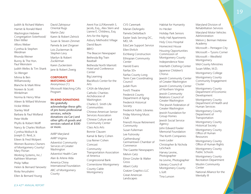Judith & Richard Walters Harriet & Ronald Ward

- Washington Hebrew Congregation Sisterhood/ Ellen Miller
- Alfons Weber
- Cynthia & Stephen Weidman
- Rhonda Weiner
- Bunny & The Hon. Paul Weinstein
- Judith Welles & Tim Shank
- Sis Wenger
- Minna & Ben Williamowsky
- Blanche & Mark Wine Noreen & Scott Winkelman Norma & Henry Wise Aileen & Willard Wishnow Vickie Witkin Stanley Wolf Barbara & Paul Wolfand Peter Wolfe Phyllis & Robert Wolff Nancy & Charles Wolfson
- Cynthia Wolloch & Joseph D. Reid, Jr. Eileen & Fred Wolpert Women Business Owners of Montgomery County/
- Mary Florian Working Systems, Inc./ Kathleen Wiseman Philip Yaffee Helen & Bernard Yanowitz
- Rivka Yerushalmi Ellen & Bernard Young

David Zahirpour Oriental Rugs Martin Zatz Karen & Robert Zelnick Susan & Steven Zimmet Pamela & Joel Zingeser Lois Zuckerman & Stephen Levy Marilyn & Robert Zuckerman Karen Zuckerstein Jane & Robert Zweig

### **CORPORATE** MATCHING GIFTS

Anonymous (1) Microsoft Matching Gifts Program

### IN-KIND DONATIONS

We gratefully acknowledge these gifts of pro bono professional services, vehicle donations via Car-J and other gifts of goods and services valued at \$500 or more.

AARP Maryland AARP Virginia Adventist Community Services of Greater Washington Adventist Health Care Alan & Arlene Alda America-China International Foundation ARC of Montgomery County

Arent Fox LLP/Kenneth S. Jacob, Esq., Alex Stern and Lianne E. Childress, Esq. Arts for the Aging Asbury Methodist Village David Baum BBYO The Beacon Newspaper Bethesda Big Train Baseball Bethesda North Marriott Hotel and Conference Center Big Learning BlackRock Center for the Arts CASA de Maryland Catholic Charities Archdiocese of Washington Charles E. Smith Life **Communities** Chinese-American Senior Services Association Chinese Culture and Community Center Class Acts Arts Bonnie Clausen Kamal & Barry Cohen Lisa Reiner Cohen Comcast Community Transportation Association of America Congressional Bank Cornerstone Montgomery County Cable Montgomery

CVS Caremark Marian DeAngelo Pamela Dettelbach Easter Seals Serving DC, MD, VA EduCare Support Service Ellen Ehrlich Eichberg Construction Ethiopian Community **Center** Harold Evans Fairfax 50+ Fairfax County Long Term Care Coordinating Council Judah Flum Ford's Theatre Frederick County Department of Aging Frederick Historical Society Frederick Public Libraries Friday Morning Music Club Friend's House Retirement Community Susan Fullerman Lee Futrovsky Gaithersburg/ Germantown Chamber of Commerce The Gazette Newspapers Melvin Getz Elinor Ginzler & Walter Gross Albert Goltz Gratzer Graphics LLC Great American Landscapes

Habitat for Humanity Irv Hecker Holiday Park Seniors Holly Hall Apartments Holy Cross Hospital Homecrest House Housing Opportunities Commission of Montgomery County Independence Now Interfaith Clothing Center Japanese Children's Chorus Jewish Community Center of Greater Washington Jewish Community Center of Northern Virginia Jewish Community Relations Council of Greater Washington The Jewish Federation of Greater Washington Jewish Foundation for Group Homes Jewish Social Service Agency John Edward Fowler Memorial Foundation The Korth Companies Irwin Leder Christopher & Nichola LeSchack Harvey Levine, Photographer Ira Levine, Photographer Literacy Council of Montgomery County L-Soft Tina Lunson

Maryland Division of Rehabilitation Services Maryland Motor Vehicles Administration Melvin J. Berman Hebrew Academy Microsoft – Pentagon City Microsoft – Tysons Corner Microsoft – Westfield Montgomery Mid-County Ministries Susan Miller, M.D. Montgomery College Montgomery County Community Engagement Cluster Montgomery County Department of Economic Development Montgomery County Department of Health and Human Services Montgomery County Department of Transportation Montgomery County Historical Society Montgomery County Office of Human Resources Montgomery County Office of Human Rights Montgomery County Public Schools Montgomery County Recreation Department Muslim Community Center

National Alliance for the Mentally Ill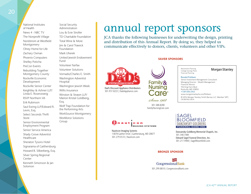National Institutes of Health News 4 - NBC TV The Nonprofit Village Nordstrom at Westfield Montgomery Olney Home for Life Zachary Oxman Phoenix Computers Shelley Poticha PreCon Events Rebuilding Together Montgomery County Rockville Economic Development Rockville Senior Center Keightley & Ashner LLP/ Linda E. Rosenzweig RSVP Northern VA Erik Rubinson Saul Ewing LLP/Edward R. Levin, Esq. Select Seconds Thrift Store Senior Environmental Employment Program Senior Service America Shady Grove Adventist Healthcare Sheraton Tysons Hotel Signarama of Gaithersburg Howard B. Silberberg, Esq. Silver Spring Regional Center Kenneth Simonson & Jan Solomon

Social Security Administration Lou & Evie Stroller TD Charitable Foundation Total Wine & More Jim & Carol Trawick Foundation Mark Uherek United Jewish Endowment Fund Volunteer Fairfax Volunteer Solutions Vornado/Charles E. Smith Washington Adventist Hospital Washington Jewish Week Willis Insurance Winston & Strawn LLP/ Marion Kristal Goldberg, Esq. Wolf Trap Foundation for the Performing Arts WorkSource Montgomery Workforce Solutions Group

## annual report sponsors

JCA thanks the following businesses for underwriting the design, printing and distribution of this Annual Report. By doing so, they helped us communicate effectively to donors, clients, volunteers and other VIPs.

### SILVER SPONSORS



Dad's Discount Appliance Distributors 301.937.0222 | DadsAppliance.com

Family & **Nursing** Core

Since 1968 301.588.8200 FamilyNursingCare.com

nauti  $c<sub>o</sub>$ <sub>n</sub> **MAGING SYSTEMS** 

Nauticon Imaging Systems 15878 Gaither Drive | Gaithersburg, MD 20877 301.279.0123 | Nauticon.com

### **SAGEL BIOOMFIFID** DANZANSKY GOI DRFRG FUNERAL CARE INC

Danzansky-Goldberg Memorial Chapels, Inc. 301.340.1400 Edward Sagel Funeral Direction, Inc. 301.217.9400 | SagelBloomfield.com

### BRONZE SPONSOR

**CongressionalBank** 301.299.8810 | CongressionalBank.com Morgan Stanley

### Financial Planning Ronald Fishbein

Retirement Planning College Savings Plans

© 2014 Morgan Stanley Smith Barney LLC. Member SIPC. CRC897562 06/14 Senior Investment Management Consultant Managing Director - Wealth Management Financial Advisor 702 King Farm Blvd Rockville, MD 20850 +1 301 556-2342 www.morganstanleyfa.com/fishbein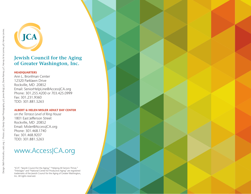

### **Jewish Council for the Aging of Greater Washington, Inc.**

### **HEADQUARTERS**

Ann L. Bronfman Center 12320 Parklawn Drive Rockville, MD 20852 Email: SeniorHelpLine@AccessJCA.org Phone: 301.255.4200 or 703.425.0999 Fax: 301.231.9360 TDD: 301.881.5263

### ALBERT & HELEN MISLER ADULT DAY CENTER

on the Terrace Level of Ring House 1801 East Jefferson Street Rockville, MD 20852 Email: Misler@AccessJCA.org Phone: 301.468.1740 Fax: 301.468.9207 TDD: 301.881.5263

### www.AccessJCA.org

"JCA", "Jewish Council for the Aging," "Helping All Seniors Thrive," "Interages" and "National Center for Productive Aging" are registered trademarks of the Jewish Council for the Aging of Greater Washington, Inc. All rights reserved.